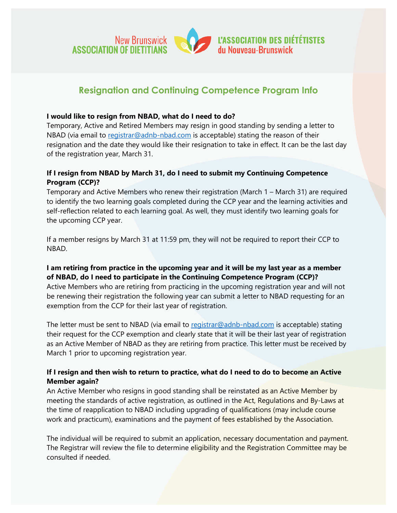

# **Resignation and Continuing Competence Program Info**

#### **I would like to resign from NBAD, what do I need to do?**

Temporary, Active and Retired Members may resign in good standing by sending a letter to NBAD (via email to [registrar@adnb-nbad.com](mailto:registrar@adnb-nbad.com) is acceptable) stating the reason of their resignation and the date they would like their resignation to take in effect. It can be the last day of the registration year, March 31.

## **If I resign from NBAD by March 31, do I need to submit my Continuing Competence Program (CCP)?**

Temporary and Active Members who renew their registration (March 1 – March 31) are required to identify the two learning goals completed during the CCP year and the learning activities and self-reflection related to each learning goal. As well, they must identify two learning goals for the upcoming CCP year.

If a member resigns by March 31 at 11:59 pm, they will not be required to report their CCP to NBAD.

### **I am retiring from practice in the upcoming year and it will be my last year as a member of NBAD, do I need to participate in the Continuing Competence Program (CCP)?**

Active Members who are retiring from practicing in the upcoming registration year and will not be renewing their registration the following year can submit a letter to NBAD requesting for an exemption from the CCP for their last year of registration.

The letter must be sent to NBAD (via email to [registrar@adnb-nbad.com](mailto:registrar@adnb-nbad.com) is acceptable) stating their request for the CCP exemption and clearly state that it will be their last year of registration as an Active Member of NBAD as they are retiring from practice. This letter must be received by March 1 prior to upcoming registration year.

## **If I resign and then wish to return to practice, what do I need to do to become an Active Member again?**

An Active Member who resigns in good standing shall be reinstated as an Active Member by meeting the standards of active registration, as outlined in the **Act, Regulations and By-Laws at** the time of reapplication to NBAD including upgrading of qualifications (may include course work and practicum), examinations and the payment of fees established by the Association.

The individual will be required to submit an application, necessary documentation and payment. The Registrar will review the file to determine eligibility and the Registration Committee may be consulted if needed.